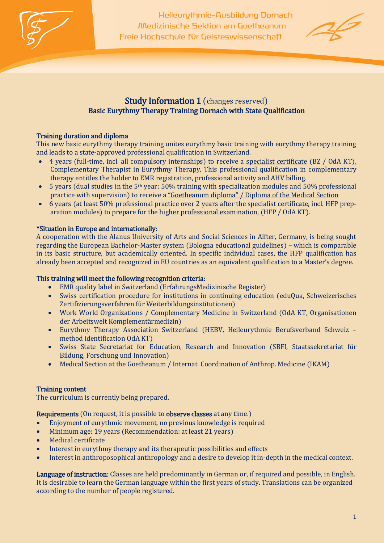

Heileurythmie-Ausbildung Dornach Medizinische Sektion am Goetheanum Freie Hochschule für Geisteswissenschaft



# Study Information 1 (changes reserved) Basic Eurythmy Therapy Training Dornach with State Qualification

## Training duration and diploma

This new basic eurythmy therapy training unites eurythmy basic training with eurythmy therapy training and leads to a state-approved professional qualification in Switzerland.

- 4 years (full-time, incl. all compulsory internships) to receive a specialist certificate (BZ / OdA KT), Complementary Therapist in Eurythmy Therapy. This professional qualification in complementary therapy entitles the holder to EMR registration, professional activity and AHV billing.
- 5 years (dual studies in the 5th year: 50% training with specialization modules and 50% professional practice with supervision) to receive a "Goetheanum diploma" / Diploma of the Medical Section
- 6 years (at least 50% professional practice over 2 years after the specialist certificate, incl. HFP preparation modules) to prepare for the higher professional examination, (HFP / OdA KT).

## \*Situation in Europe and internationally:

A cooperation with the Alanus University of Arts and Social Sciences in Alfter, Germany, is being sought regarding the European Bachelor-Master system (Bologna educational guidelines) – which is comparable in its basic structure, but academically oriented. In specific individual cases, the HFP qualification has already been accepted and recognized in EU countries as an equivalent qualification to a Master's degree.

## This training will meet the following recognition criteria:

- EMR quality label in Switzerland (ErfahrungsMedizinische Register)
- Swiss certification procedure for institutions in continuing education (eduQua, Schweizerisches Zertifizierungsverfahren für Weiterbildungsinstitutionen)
- Work World Organizations / Complementary Medicine in Switzerland (OdA KT, Organisationen der Arbeitswelt Komplementärmedizin)
- Eurythmy Therapy Association Switzerland (HEBV, Heileurythmie Berufsverband Schweiz method identification OdA KT)
- Swiss State Secretariat for Education, Research and Innovation (SBFI, Staatssekretariat für Bildung, Forschung und Innovation)
- Medical Section at the Goetheanum / Internat. Coordination of Anthrop. Medicine (IKAM)

## Training content

The curriculum is currently being prepared.

## Requirements (On request, it is possible to observe classes at any time.)

- Enjoyment of eurythmic movement, no previous knowledge is required
- Minimum age: 19 years (Recommendation: at least 21 years)
- Medical certificate
- Interest in eurythmy therapy and its therapeutic possibilities and effects
- Interest in anthroposophical anthropology and a desire to develop it in-depth in the medical context.

Language of instruction: Classes are held predominantly in German or, if required and possible, in English. It is desirable to learn the German language within the first years of study. Translations can be organized according to the number of people registered.